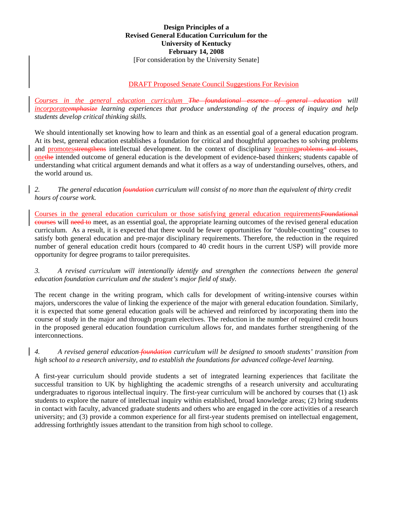## **Design Principles of a Revised General Education Curriculum for the University of Kentucky February 14, 2008**  [For consideration by the University Senate]

# DRAFT Proposed Senate Council Suggestions For Revision

*Courses in the general education curriculum The foundational essence of general education will incorporateemphasize learning experiences that produce understanding of the process of inquiry and help students develop critical thinking skills.* 

We should intentionally set knowing how to learn and think as an essential goal of a general education program. At its best, general education establishes a foundation for critical and thoughtful approaches to solving problems and promotesstrengthens intellectual development. In the context of disciplinary learning problems and issues, onethe intended outcome of general education is the development of evidence-based thinkers; students capable of understanding what critical argument demands and what it offers as a way of understanding ourselves, others, and the world around us.

## *2. The general education foundation curriculum will consist of no more than the equivalent of thirty credit hours of course work.*

Courses in the general education curriculum or those satisfying general education requirementsFoundational courses will need to meet, as an essential goal, the appropriate learning outcomes of the revised general education curriculum. As a result, it is expected that there would be fewer opportunities for "double-counting" courses to satisfy both general education and pre-major disciplinary requirements. Therefore, the reduction in the required number of general education credit hours (compared to 40 credit hours in the current USP) will provide more opportunity for degree programs to tailor prerequisites.

*3. A revised curriculum will intentionally identify and strengthen the connections between the general education foundation curriculum and the student's major field of study.* 

The recent change in the writing program, which calls for development of writing-intensive courses within majors, underscores the value of linking the experience of the major with general education foundation. Similarly, it is expected that some general education goals will be achieved and reinforced by incorporating them into the course of study in the major and through program electives. The reduction in the number of required credit hours in the proposed general education foundation curriculum allows for, and mandates further strengthening of the interconnections.

## *4. A revised general education foundation curriculum will be designed to smooth students' transition from high school to a research university, and to establish the foundations for advanced college-level learning.*

A first-year curriculum should provide students a set of integrated learning experiences that facilitate the successful transition to UK by highlighting the academic strengths of a research university and acculturating undergraduates to rigorous intellectual inquiry. The first-year curriculum will be anchored by courses that (1) ask students to explore the nature of intellectual inquiry within established, broad knowledge areas; (2) bring students in contact with faculty, advanced graduate students and others who are engaged in the core activities of a research university; and (3) provide a common experience for all first-year students premised on intellectual engagement, addressing forthrightly issues attendant to the transition from high school to college.